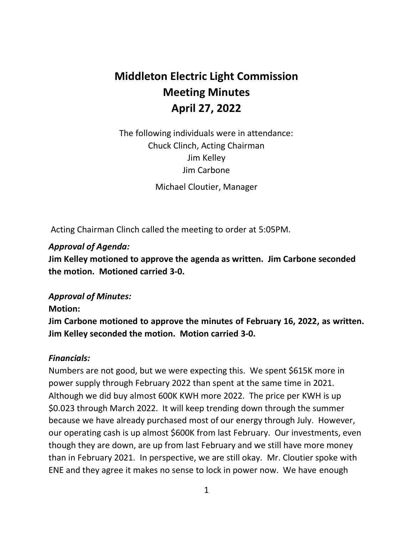# **Middleton Electric Light Commission Meeting Minutes April 27, 2022**

 The following individuals were in attendance: Chuck Clinch, Acting Chairman Jim Kelley Jim Carbone

Michael Cloutier, Manager

Acting Chairman Clinch called the meeting to order at 5:05PM.

## *Approval of Agenda:*

 **Jim Kelley motioned to approve the agenda as written. Jim Carbone seconded the motion. Motioned carried 3-0.** 

## *Approval of Minutes:*

### **Motion:**

 **Jim Carbone motioned to approve the minutes of February 16, 2022, as written. Jim Kelley seconded the motion. Motion carried 3-0.** 

### *Financials:*

 Numbers are not good, but we were expecting this. We spent \$615K more in power supply through February 2022 than spent at the same time in 2021. Although we did buy almost 600K KWH more 2022. The price per KWH is up \$0.023 through March 2022. It will keep trending down through the summer because we have already purchased most of our energy through July. However, our operating cash is up almost \$600K from last February. Our investments, even though they are down, are up from last February and we still have more money than in February 2021. In perspective, we are still okay. Mr. Cloutier spoke with ENE and they agree it makes no sense to lock in power now. We have enough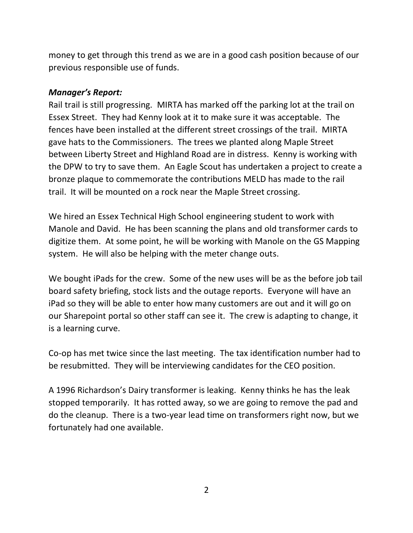money to get through this trend as we are in a good cash position because of our previous responsible use of funds.

#### *Manager's Report:*

 Rail trail is still progressing. MIRTA has marked off the parking lot at the trail on Essex Street. They had Kenny look at it to make sure it was acceptable. The fences have been installed at the different street crossings of the trail. MIRTA gave hats to the Commissioners. The trees we planted along Maple Street between Liberty Street and Highland Road are in distress. Kenny is working with the DPW to try to save them. An Eagle Scout has undertaken a project to create a trail. It will be mounted on a rock near the Maple Street crossing. bronze plaque to commemorate the contributions MELD has made to the rail

 We hired an Essex Technical High School engineering student to work with Manole and David. He has been scanning the plans and old transformer cards to digitize them. At some point, he will be working with Manole on the GS Mapping system. He will also be helping with the meter change outs.

 We bought iPads for the crew. Some of the new uses will be as the before job tail iPad so they will be able to enter how many customers are out and it will go on our Sharepoint portal so other staff can see it. The crew is adapting to change, it is a learning curve. board safety briefing, stock lists and the outage reports. Everyone will have an

 Co-op has met twice since the last meeting. The tax identification number had to be resubmitted. They will be interviewing candidates for the CEO position.

 A 1996 Richardson's Dairy transformer is leaking. Kenny thinks he has the leak stopped temporarily. It has rotted away, so we are going to remove the pad and do the cleanup. There is a two-year lead time on transformers right now, but we fortunately had one available.